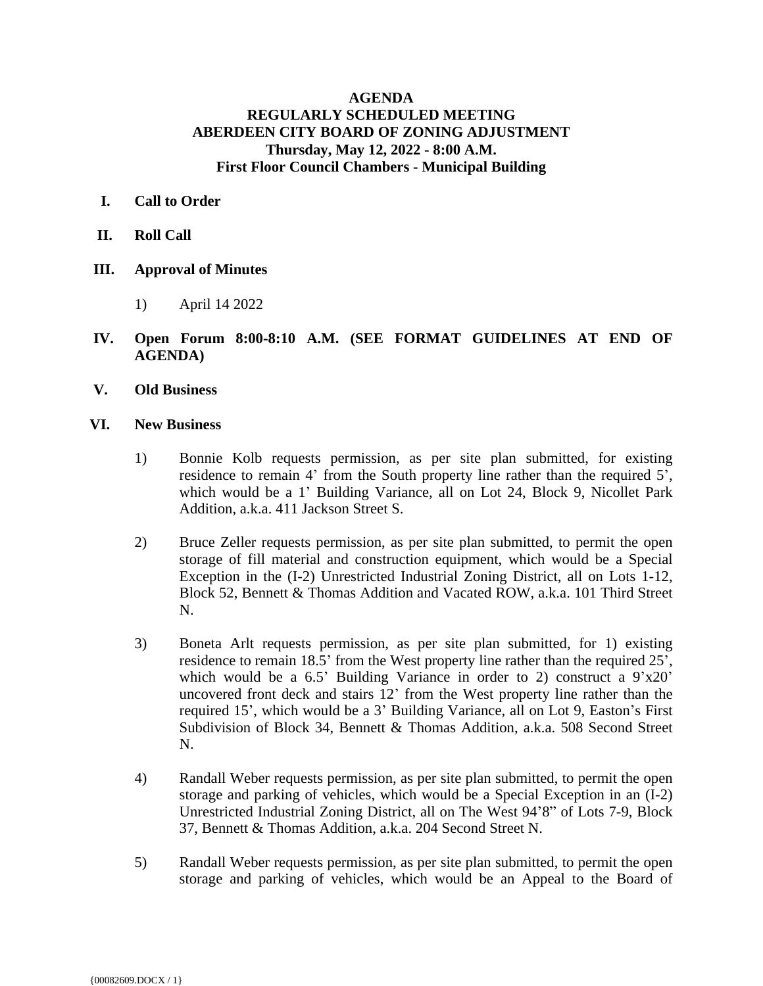## **AGENDA REGULARLY SCHEDULED MEETING ABERDEEN CITY BOARD OF ZONING ADJUSTMENT Thursday, May 12, 2022 - 8:00 A.M. First Floor Council Chambers - Municipal Building**

- **I. Call to Order**
- **II. Roll Call**
- **III. Approval of Minutes**
	- 1) April 14 2022
- **IV. Open Forum 8:00-8:10 A.M. (SEE FORMAT GUIDELINES AT END OF AGENDA)**
- **V. Old Business**
- **VI. New Business**
	- 1) Bonnie Kolb requests permission, as per site plan submitted, for existing residence to remain 4' from the South property line rather than the required 5', which would be a 1' Building Variance, all on Lot 24, Block 9, Nicollet Park Addition, a.k.a. 411 Jackson Street S.
	- 2) Bruce Zeller requests permission, as per site plan submitted, to permit the open storage of fill material and construction equipment, which would be a Special Exception in the (I-2) Unrestricted Industrial Zoning District, all on Lots 1-12, Block 52, Bennett & Thomas Addition and Vacated ROW, a.k.a. 101 Third Street N.
	- 3) Boneta Arlt requests permission, as per site plan submitted, for 1) existing residence to remain 18.5' from the West property line rather than the required 25', which would be a 6.5' Building Variance in order to 2) construct a  $9'x20'$ uncovered front deck and stairs 12' from the West property line rather than the required 15', which would be a 3' Building Variance, all on Lot 9, Easton's First Subdivision of Block 34, Bennett & Thomas Addition, a.k.a. 508 Second Street N.
	- 4) Randall Weber requests permission, as per site plan submitted, to permit the open storage and parking of vehicles, which would be a Special Exception in an (I-2) Unrestricted Industrial Zoning District, all on The West 94'8" of Lots 7-9, Block 37, Bennett & Thomas Addition, a.k.a. 204 Second Street N.
	- 5) Randall Weber requests permission, as per site plan submitted, to permit the open storage and parking of vehicles, which would be an Appeal to the Board of